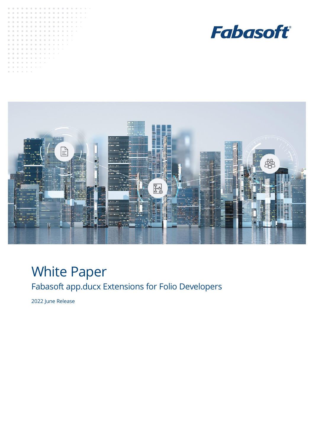





# White Paper Fabasoft app.ducx Extensions for Folio Developers

2022 June Release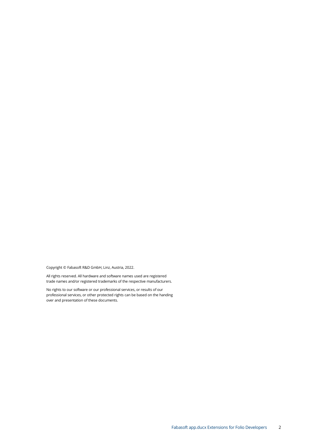Copyright © Fabasoft R&D GmbH, Linz, Austria, 2022.

All rights reserved. All hardware and software names used are registered trade names and/or registered trademarks of the respective manufacturers.

No rights to our software or our professional services, or results of our professional services, or other protected rights can be based on the handing over and presentation of these documents.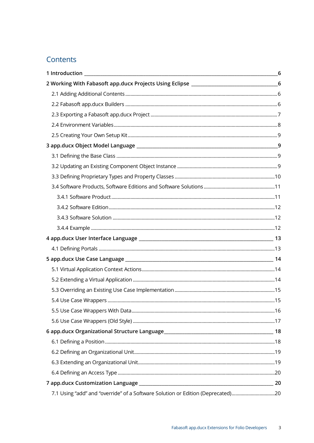# Contents

| 2 Working With Fabasoft app.ducx Projects Using Eclipse _________________________6 |  |
|------------------------------------------------------------------------------------|--|
|                                                                                    |  |
|                                                                                    |  |
|                                                                                    |  |
|                                                                                    |  |
|                                                                                    |  |
|                                                                                    |  |
|                                                                                    |  |
|                                                                                    |  |
|                                                                                    |  |
|                                                                                    |  |
|                                                                                    |  |
|                                                                                    |  |
|                                                                                    |  |
|                                                                                    |  |
|                                                                                    |  |
|                                                                                    |  |
|                                                                                    |  |
|                                                                                    |  |
|                                                                                    |  |
|                                                                                    |  |
|                                                                                    |  |
|                                                                                    |  |
|                                                                                    |  |
|                                                                                    |  |
|                                                                                    |  |
|                                                                                    |  |
|                                                                                    |  |
|                                                                                    |  |
|                                                                                    |  |
| 7.1 Using "add" and "override" of a Software Solution or Edition (Deprecated)20    |  |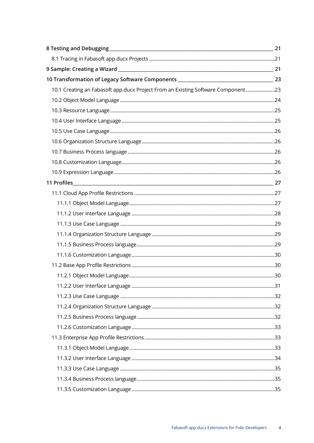| 10.1 Creating an Fabasoft app.ducx Project From an Existing Software Component23 |  |
|----------------------------------------------------------------------------------|--|
|                                                                                  |  |
|                                                                                  |  |
|                                                                                  |  |
|                                                                                  |  |
|                                                                                  |  |
|                                                                                  |  |
|                                                                                  |  |
|                                                                                  |  |
|                                                                                  |  |
|                                                                                  |  |
|                                                                                  |  |
|                                                                                  |  |
|                                                                                  |  |
|                                                                                  |  |
|                                                                                  |  |
|                                                                                  |  |
|                                                                                  |  |
|                                                                                  |  |
|                                                                                  |  |
|                                                                                  |  |
|                                                                                  |  |
|                                                                                  |  |
|                                                                                  |  |
|                                                                                  |  |
|                                                                                  |  |
|                                                                                  |  |
|                                                                                  |  |
|                                                                                  |  |
|                                                                                  |  |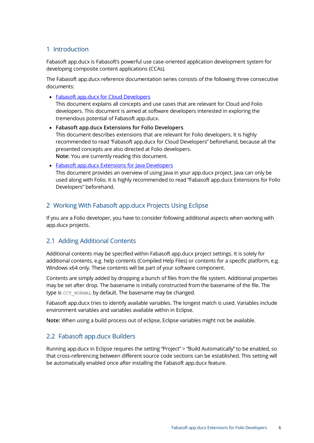### <span id="page-5-0"></span>1 Introduction

Fabasoft app.ducx is Fabasoft's powerful use case-oriented application development system for developing composite content applications (CCAs).

The Fabasoft app.ducx reference documentation series consists of the following three consecutive documents:

• [Fabasoft app.ducx for Cloud Developers](https://help.developer.fabasoft.com/index.php?topic=doc/Fabasoft-appducx-for-Cloud-Developers/index.htm)

This document explains all concepts and use cases that are relevant for Cloud and Folio developers. This document is aimed at software developers interested in exploring the tremendous potential of Fabasoft app.ducx.

- **Fabasoft app.ducx Extensions for Folio Developers** This document describes extensions that are relevant for Folio developers. It is highly recommended to read "Fabasoft app.ducx for Cloud Developers" beforehand, because all the presented concepts are also directed at Folio developers. **Note:** You are currently reading this document.
- [Fabasoft app.ducx Extensions for Java Developers](https://help.developer.fabasoft.com/index.php?topic=doc/Fabasoft-appducx-Extensions-for-Java-Developers/index.htm) This document provides an overview of using Java in your app.ducx project. Java can only be used along with Folio. It is highly recommended to read "Fabasoft app.ducx Extensions for Folio Developers" beforehand.

### <span id="page-5-1"></span>2 Working With Fabasoft app.ducx Projects Using Eclipse

If you are a Folio developer, you have to consider following additional aspects when working with app.ducx projects.

### <span id="page-5-2"></span>2.1 Adding Additional Contents

Additional contents may be specified within Fabasoft app.ducx project settings. It is solely for additional contents, e.g. help contents (Compiled Help Files) or contents for a specific platform, e.g. Windows x64 only. These contents will be part of your software component.

Contents are simply added by dropping a bunch of files from the file system. Additional properties may be set after drop. The basename is initially constructed from the basename of the file. The type is CCT\_NORMAL by default. The basename may be changed.

Fabasoft app.ducx tries to identify available variables. The longest match is used. Variables include environment variables and variables available within in Eclipse.

**Note:** When using a build process out of eclipse, Eclipse variables might not be available.

### <span id="page-5-3"></span>2.2 Fabasoft app.ducx Builders

Running app.ducx in Eclipse requires the setting "Project" > "Build Automatically" to be enabled, so that cross-referencing between different source code sections can be established. This setting will be automatically enabled once after installing the Fabasoft app.ducx feature.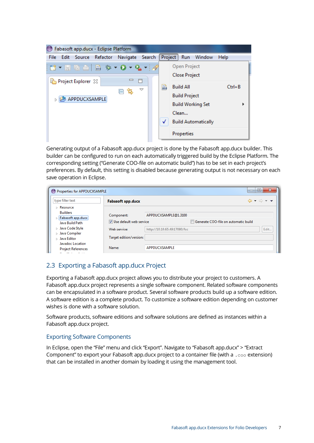| Fabasoft app.ducx - Eclipse Platform<br>⊜                    |  |   |                                                                      |            |
|--------------------------------------------------------------|--|---|----------------------------------------------------------------------|------------|
| <b>Search</b><br>Navigate<br>Refactor<br>Edit Source<br>File |  |   | Project Run<br>Window                                                | Help       |
| $\qquad \qquad \blacksquare$<br>Ħ<br>Project Explorer &      |  |   | Open Project<br><b>Close Project</b>                                 |            |
| ᢦ<br>ਥਿੰ<br>⊟<br>APPDUCXSAMPLE                               |  | 局 | <b>Build All</b><br><b>Build Project</b><br><b>Build Working Set</b> | $Ctrl + B$ |
|                                                              |  | √ | Clean<br><b>Build Automatically</b><br>Properties                    |            |

Generating output of a Fabasoft app.ducx project is done by the Fabasoft app.ducx builder. This builder can be configured to run on each automatically triggered build by the Eclipse Platform. The corresponding setting ("Generate COO-file on automatic build") has to be set in each project's preferences. By default, this setting is disabled because generating output is not necessary on each save operation in Eclipse.

| Properties for APPDUCXSAMPLE                        |                          |                              |                                      | x<br>▣                                                            |
|-----------------------------------------------------|--------------------------|------------------------------|--------------------------------------|-------------------------------------------------------------------|
| type filter text                                    | <b>Fabasoft app.ducx</b> |                              |                                      | $\Leftrightarrow \; \bullet \; \Rightarrow \; \bullet \; \bullet$ |
| $\triangleright$ Resource<br><b>Builders</b>        | Component:               | APPDUCXSAMPLE@1.3100         |                                      |                                                                   |
| Fabasoft app.ducx<br>Java Build Path                | Use default web service  |                              | Generate COO-file on automatic build |                                                                   |
| > Java Code Style<br>$\triangleright$ Java Compiler | Web service:             | http://10.10.65.49:17080/fsc |                                      | Edit                                                              |
| ▷ Java Editor<br>Javadoc Location                   | Target edition/version:  |                              |                                      |                                                                   |
| <b>Project References</b><br>en and                 | Name:                    | APPDUCXSAMPLE                |                                      |                                                                   |

### <span id="page-6-0"></span>2.3 Exporting a Fabasoft app.ducx Project

Exporting a Fabasoft app.ducx project allows you to distribute your project to customers. A Fabasoft app.ducx project represents a single software component. Related software components can be encapsulated in a software product. Several software products build up a software edition. A software edition is a complete product. To customize a software edition depending on customer wishes is done with a software solution.

Software products, software editions and software solutions are defined as instances within a Fabasoft app.ducx project.

#### Exporting Software Components

In Eclipse, open the "File" menu and click "Export". Navigate to "Fabasoft app.ducx" > "Extract Component" to export your Fabasoft app.ducx project to a container file (with a .coo extension) that can be installed in another domain by loading it using the management tool.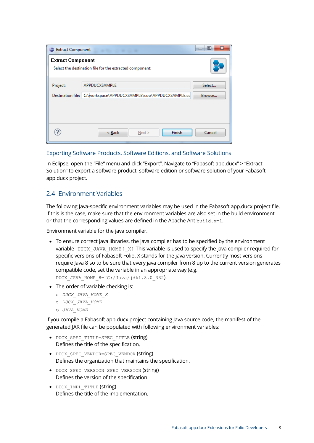| <b>Extract Component</b> | the film of the country of                                                         | $\mathbf{x}$<br>▣<br>$\sqrt{2}$ |
|--------------------------|------------------------------------------------------------------------------------|---------------------------------|
| <b>Extract Component</b> | Select the destination file for the extracted component:                           |                                 |
| Project:                 | APPDUCXSAMPLE<br>Destination file: C:\workspace\APPDUCXSAMPLE\coo\APPDUCXSAMPLE.cc | Select<br>Browse                |
| ?                        | Finish<br>< Back<br>Next >                                                         | Cancel                          |

#### Exporting Software Products, Software Editions, and Software Solutions

In Eclipse, open the "File" menu and click "Export". Navigate to "Fabasoft app.ducx" > "Extract Solution" to export a software product, software edition or software solution of your Fabasoft app.ducx project.

### <span id="page-7-0"></span>2.4 Environment Variables

The following Java-specific environment variables may be used in the Fabasoft app.ducx project file. If this is the case, make sure that the environment variables are also set in the build environment or that the corresponding values are defined in the Apache Ant build.xml.

Environment variable for the java compiler.

- To ensure correct java libraries, the java compiler has to be specified by the environment variable DUCX JAVA HOME [ $X$ ] This variable is used to specify the java compiler required for specific versions of Fabasoft Folio. X stands for the java version. Currently most versions require Java 8 so to be sure that every java compiler from 8 up to the current version generates compatible code, set the variable in an appropriate way (e.g. DUCX\_JAVA\_HOME\_8="C:/Java/jdk1.8.0\_332).
- The order of variable checking is:
	- o *DUCX\_JAVA\_HOME\_X*
	- o *DUCX\_JAVA\_HOME*
	- o *JAVA\_HOME*

If you compile a Fabasoft app.ducx project containing Java source code, the manifest of the generated JAR file can be populated with following environment variables:

- · DUCX SPEC TITLE=SPEC TITLE (string) Defines the title of the specification.
- DUCX SPEC VENDOR=SPEC VENDOR (String) Defines the organization that maintains the specification.
- DUCX SPEC VERSION=SPEC VERSION (string) Defines the version of the specification.
- DUCX IMPL TITLE (string) Defines the title of the implementation.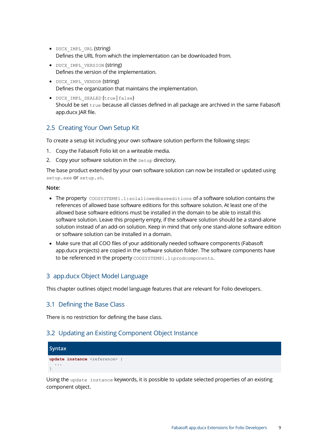- · DUCX IMPL URL (string) Defines the URL from which the implementation can be downloaded from.
- · DUCX IMPL VERSION (string) Defines the version of the implementation.
- DUCX IMPL VENDOR (string) Defines the organization that maintains the implementation.
- DUCX IMPL SEALED (true | false) Should be set true because all classes defined in all package are archived in the same Fabasoft app.ducx JAR file.

### <span id="page-8-0"></span>2.5 Creating Your Own Setup Kit

To create a setup kit including your own software solution perform the following steps:

- 1. Copy the Fabasoft Folio kit on a writeable media.
- 2. Copy your software solution in the setup directory.

The base product extended by your own software solution can now be installed or updated using setup.exe Of setup.sh.

#### **Note:**

- The property COOSYSTEM@1.1:solallowedbaseeditions of a software solution contains the references of allowed base software editions for this software solution. At least one of the allowed base software editions must be installed in the domain to be able to install this software solution. Leave this property empty, if the software solution should be a stand-alone solution instead of an add-on solution. Keep in mind that only one stand-alone software edition or software solution can be installed in a domain.
- Make sure that all COO files of your additionally needed software components (Fabasoft app.ducx projects) are copied in the software solution folder. The software components have to be referenced in the property COOSYSTEM@1.1:prodcomponents.

### <span id="page-8-1"></span>3 app.ducx Object Model Language

This chapter outlines object model language features that are relevant for Folio developers.

### <span id="page-8-2"></span>3.1 Defining the Base Class

There is no restriction for defining the base class.

### <span id="page-8-3"></span>3.2 Updating an Existing Component Object Instance



Using the update instance keywords, it is possible to update selected properties of an existing component object.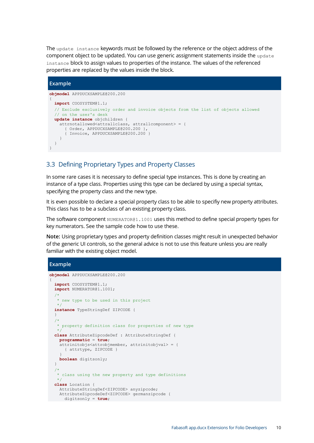The update instance keywords must be followed by the reference or the object address of the component object to be updated. You can use generic assignment statements inside the update instance block to assign values to properties of the instance. The values of the referenced properties are replaced by the values inside the block.

#### **Example**

```
objmodel APPDUCXSAMPLE@200.200
{
   import COOSYSTEM@1.1;
   // Exclude exclusively order and invoice objects from the list of objects allowed
   // on the user's desk
  update instance objchildren {
   attrnotallowed<attrallclass, attrallcomponent> = {
       { Order, APPDUCXSAMPLE@200.200 },
      { Invoice, APPDUCXSAMPLE@200.200 }
     }
  }
}
```
### <span id="page-9-0"></span>3.3 Defining Proprietary Types and Property Classes

In some rare cases it is necessary to define special type instances. This is done by creating an instance of a type class. Properties using this type can be declared by using a special syntax, specifying the property class and the new type.

It is even possible to declare a special property class to be able to specifiy new property attributes. This class has to be a subclass of an existing property class.

The software component NUMERATOR@1.1001 uses this method to define special property types for key numerators. See the sample code how to use these.

**Note:** Using proprietary types and property definition classes might result in unexpected behavior of the generic UI controls, so the general advice is not to use this feature unless you are really familiar with the existing object model.

#### **Example**

```
objmodel APPDUCXSAMPLE@200.200
{
   import COOSYSTEM@1.1;
   import NUMERATOR@1.1001;
/*
    * new type to be used in this project
   */
   instance TypeStringDef ZIPCODE {
   }
   /*
   * property definition class for properties of new type
\star/ class AttributeZipcodeDef : AttributeStringDef {
    programmatic = true;
     attrinitobjs<attrobjmember, attrinitobjval> = {
      { attrtype, ZIPCODE }
 }
    boolean digitsonly;
   }
   /*
    * class using the new property and type definitions
    */
   class Location {
    AttributeStringDef<ZIPCODE> anyzipcode;
    AttributeZipcodeDef<ZIPCODE> germanzipcode {
      digitsonly = true;
```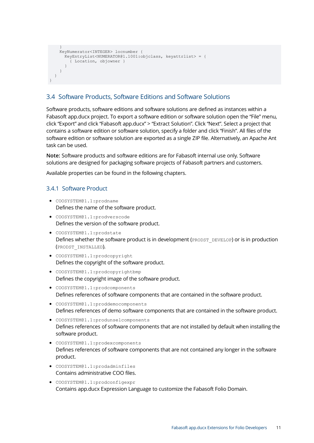```
 }
     KeyNumerator<INTEGER> locnumber {
      KeyEntryList<NUMERATOR@1.1001:objclass, keyattrlist> = {
         { Location, objowner }
       }
    }
  }
}
```
### <span id="page-10-0"></span>3.4 Software Products, Software Editions and Software Solutions

Software products, software editions and software solutions are defined as instances within a Fabasoft app.ducx project. To export a software edition or software solution open the "File" menu, click "Export" and click "Fabasoft app.ducx" > "Extract Solution". Click "Next". Select a project that contains a software edition or software solution, specify a folder and click "Finish". All files of the software edition or software solution are exported as a single ZIP file. Alternatively, an Apache Ant task can be used.

**Note:** Software products and software editions are for Fabasoft internal use only. Software solutions are designed for packaging software projects of Fabasoft partners and customers.

Available properties can be found in the following chapters.

#### <span id="page-10-1"></span>3.4.1 Software Product

- COOSYSTEM@1.1:prodname Defines the name of the software product.
- COOSYSTEM@1.1:prodverscode Defines the version of the software product.
- COOSYSTEM@1.1:prodstate Defines whether the software product is in development (PRODST\_DEVELOP) or is in production (PRODST\_INSTALLED).
- COOSYSTEM@1.1:prodcopyright Defines the copyright of the software product.
- COOSYSTEM@1.1:prodcopyrightbmp Defines the copyright image of the software product.
- COOSYSTEM@1.1:prodcomponents Defines references of software components that are contained in the software product.
- COOSYSTEM@1.1:proddemocomponents Defines references of demo software components that are contained in the software product.
- COOSYSTEM@1.1:produnselcomponents Defines references of software components that are not installed by default when installing the software product.
- COOSYSTEM@1.1:prodexcomponents Defines references of software components that are not contained any longer in the software product.
- COOSYSTEM@1.1:prodadminfiles Contains administrative COO files.
- COOSYSTEM@1.1:prodconfigexpr Contains app.ducx Expression Language to customize the Fabasoft Folio Domain.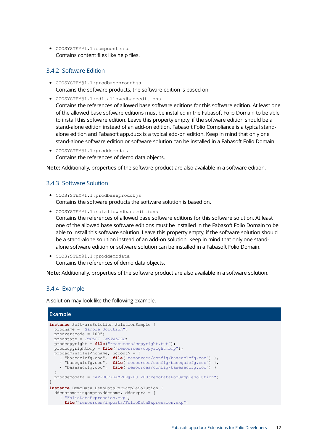• COOSYSTEM@1.1:compcontents Contains content files like help files.

### <span id="page-11-0"></span>3.4.2 Software Edition

- COOSYSTEM@1.1:prodbaseprodobjs Contains the software products, the software edition is based on.
- COOSYSTEM@1.1:editallowedbaseeditions

Contains the references of allowed base software editions for this software edition. At least one of the allowed base software editions must be installed in the Fabasoft Folio Domain to be able to install this software edition. Leave this property empty, if the software edition should be a stand-alone edition instead of an add-on edition. Fabasoft Folio Compliance is a typical standalone edition and Fabasoft app.ducx is a typical add-on edition. Keep in mind that only one stand-alone software edition or software solution can be installed in a Fabasoft Folio Domain.

• COOSYSTEM@1.1:proddemodata Contains the references of demo data objects.

**Note:** Additionally, properties of the software product are also available in a software edition.

### <span id="page-11-1"></span>3.4.3 Software Solution

- COOSYSTEM@1.1:prodbaseprodobjs Contains the software products the software solution is based on.
- COOSYSTEM@1.1:solallowedbaseeditions Contains the references of allowed base software editions for this software solution. At least one of the allowed base software editions must be installed in the Fabasoft Folio Domain to be able to install this software solution. Leave this property empty, if the software solution should be a stand-alone solution instead of an add-on solution. Keep in mind that only one standalone software edition or software solution can be installed in a Fabasoft Folio Domain.
- COOSYSTEM@1.1:proddemodata Contains the references of demo data objects.

**Note:** Additionally, properties of the software product are also available in a software solution.

#### <span id="page-11-2"></span>3.4.4 Example

A solution may look like the following example.

```
Example
instance SoftwareSolution SolutionSample {
  prodname = "Sample Solution";
 prooverscode = 1005; prodstate = PRODST_INSTALLED;
  prodcopyright = file("resources/copyright.txt");
  prodcopyrightbmp = file("resources/copyright.bmp");
  prodadminfiles<ncname, nccont> = {
 { "baseaclcfg.coo", file("resources/config/baseaclcfg.coo") },
 { "baseguicfg.coo", file("resources/config/baseguicfg.coo") },
 { "baseseccfg.coo", file("resources/config/baseseccfg.coo") }
 }
  proddemodata = "APPDUCXSAMPLE@200.200:DemoDataForSampleSolution";
}
instance DemoData DemoDataForSampleSolution {
   ddcustomizingexprs<ddename, ddeexpr> = {
     { "FolioDataExpression.exp",
      file("resources/imports/FolioDataExpression.exp")
```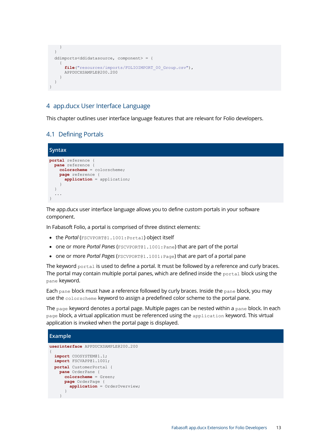```
 }
   }
   ddimports<ddidatasource, component> = {
     {
       file("resources/imports/FOLIOIMPORT_00_Group.csv"),
      APPDUCXSAMPLE@200.200
     }
   }
}
```
### <span id="page-12-0"></span>4 app.ducx User Interface Language

This chapter outlines user interface language features that are relevant for Folio developers.

### <span id="page-12-1"></span>4.1 Defining Portals

```
Syntax
portal reference {
  pane reference {
    colorscheme = colorscheme;
 page reference {
 application = application;
     }
   }
   ...
}
```
The app.ducx user interface language allows you to define custom portals in your software component.

In Fabasoft Folio, a portal is comprised of three distinct elements:

- the *Portal* (FSCVPORT@1.1001:Portal) object itself
- one or more *Portal Panes* (FSCVPORT@1.1001:Pane) that are part of the portal
- one or more *Portal Pages* (FSCVPORT@1.1001: Page) that are part of a portal pane

The keyword portal is used to define a portal. It must be followed by a reference and curly braces. The portal may contain multiple portal panes, which are defined inside the portal block using the pane keyword.

Each pane block must have a reference followed by curly braces. Inside the pane block, you may use the colorscheme keyword to assign a predefined color scheme to the portal pane.

The page keyword denotes a portal page. Multiple pages can be nested within a pane block. In each page block, a virtual application must be referenced using the application keyword. This virtual application is invoked when the portal page is displayed.

#### **Example**

```
userinterface APPDUCXSAMPLE@200.200
{
  import COOSYSTEM@1.1;
  import FSCVAPP@1.1001;
  portal CustomerPortal {
     pane OrderPane {
      colorscheme = Green;
       page OrderPage {
         application = OrderOverview;
       }
     }
```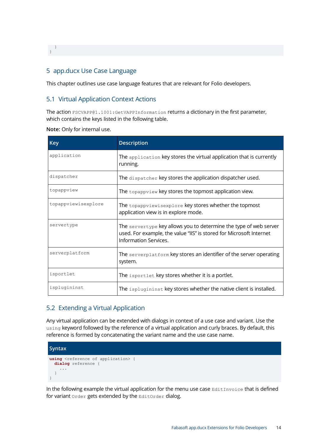<span id="page-13-0"></span> } }

### 5 app.ducx Use Case Language

This chapter outlines use case language features that are relevant for Folio developers.

### <span id="page-13-1"></span>5.1 Virtual Application Context Actions

The action FSCVAPP@1.1001:GetVAPPInformation returns a dictionary in the first parameter, which contains the keys listed in the following table.

**Note:** Only for internal use.

| <b>Key</b>          | <b>Description</b>                                                                                                                                                       |
|---------------------|--------------------------------------------------------------------------------------------------------------------------------------------------------------------------|
| application         | The $\alpha$ application key stores the virtual application that is currently<br>running.                                                                                |
| dispatcher          | The dispatcher key stores the application dispatcher used.                                                                                                               |
| topappview          | The topappview key stores the topmost application view.                                                                                                                  |
| topappviewisexplore | The topappviewisexplore key stores whether the topmost<br>application view is in explore mode.                                                                           |
| servertype          | The servertype key allows you to determine the type of web server<br>used. For example, the value "IIS" is stored for Microsoft Internet<br><b>Information Services.</b> |
| serverplatform      | The serverplatform key stores an identifier of the server operating<br>system.                                                                                           |
| isportlet           | The isportlet key stores whether it is a portlet.                                                                                                                        |
| isplugininst        | The isplugininst key stores whether the native client is installed.                                                                                                      |

### <span id="page-13-2"></span>5.2 Extending a Virtual Application

Any virtual application can be extended with dialogs in context of a use case and variant. Use the using keyword followed by the reference of a virtual application and curly braces. By default, this reference is formed by concatenating the variant name and the use case name.



In the following example the virtual application for the menu use case EditInvoice that is defined for variant order gets extended by the EditOrder dialog.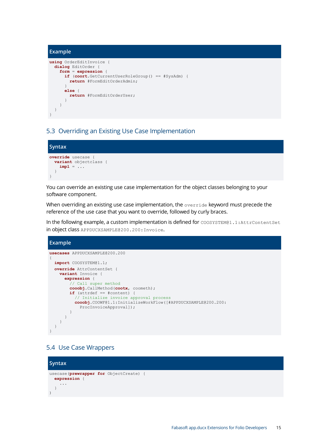```
Example
using OrderEditInvoice {
   dialog EditOrder {
     form = expression {
      if (coort.GetCurrentUserRoleGroup() == #SysAdm) {
        return #FormEditOrderAdmin;
 }
       else {
        return #FormEditOrderUser;
       }
     }
   }
}
```
### <span id="page-14-0"></span>5.3 Overriding an Existing Use Case Implementation



You can override an existing use case implementation for the object classes belonging to your software component.

When overriding an existing use case implementation, the override keyword must precede the reference of the use case that you want to override, followed by curly braces.

In the following example, a custom implementation is defined for COOSYSTEM@1.1:AttrContentSet in object class APPDUCXSAMPLE@200.200:Invoice.



### <span id="page-14-1"></span>5.4 Use Case Wrappers

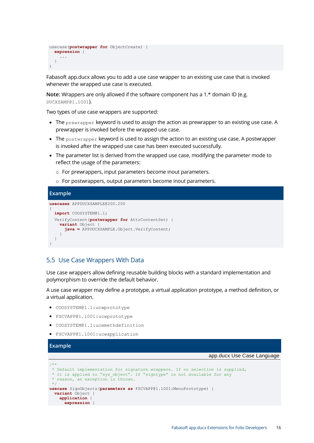```
usecase(postwrapper for ObjectCreate) { 
   expression {
      ... 
   }
)
```
Fabasoft app.ducx allows you to add a use case wrapper to an existing use case that is invoked whenever the wrapped use case is executed.

**Note:** Wrappers are only allowed if the software component has a 1.\* domain ID (e.g. DUCXSAMP@1.1001).

Two types of use case wrappers are supported:

- $\bullet$  The prewrapper keyword is used to assign the action as prewrapper to an existing use case. A prewrapper is invoked before the wrapped use case.
- The postwrapper keyword is used to assign the action to an existing use case. A postwrapper is invoked after the wrapped use case has been executed successfully.
- The parameter list is derived from the wrapped use case, modifying the parameter mode to reflect the usage of the parameters:
	- o For prewrappers, input parameters become inout parameters.
	- o For postwrappers, output parameters become inout parameters.

#### **Example**

```
usecases APPDUCXSAMPLE@200.200
{
   import COOSYSTEM@1.1;
   VerifyContent(postwrapper for AttrContentSet) {
     variant Object {
       java = APPDUCXSAMPLE.Object.VerifyContent;
     }
   }
}
```
### <span id="page-15-0"></span>5.5 Use Case Wrappers With Data

Use case wrappers allow defining reusable building blocks with a standard implementation and polymorphism to override the default behavior.

A use case wrapper may define a prototype, a virtual application prototype, a method definition, or a virtual application.

- COOSYSTEM@1.1:ucwprototype
- FSCVAPP@1.1001:ucwprototype
- COOSYSTEM@1.1:ucwmethdefinition
- FSCVAPP@1.1001:ucwapplication

#### **Example**

#### app.ducx Use Case Language

```
/**
 * Default implementation for signature wrappers. If no selection is supplied,
 * it is applied to "sys object". If "signtype" is not available for any
* reason, an exception is thrown.
 */
usecase SignObjects(parameters as FSCVAPP@1.1001:MenuPrototype) {
  variant Object {
    application {
      expression {
```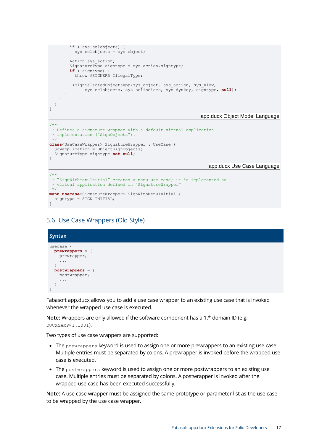```
 if (!sys_selobjects) {
         sys selobjects = sys object;
 }
       Action sys action;
       SignatureType signtype = sys_action.signtype;
        if (!signtype) {
          throw #SIGNERR_IllegalType;
 }
       ->SignSelectedObjectsApp(sys_object, sys_action, sys_view,
             sys selobjects, sys selindices, sys dynkey, signtype, null);
      }
    }
  }
}
```
#### app.ducx Object Model Language

```
/**
* Defines a signature wrapper with a default virtual application
* implementation ("SignObjects").
\starclass<UseCaseWrapper> SignatureWrapper : UseCase {
  ucwapplication = ObjectSignObjects;
  SignatureType signtype not null;
}
```
### app.ducx Use Case Language

```
/*
* "SignWithMenuInitial" creates a menu use case; it is implemented as
* virtual application defined in "SignatureWrapper"
\rightarrowmenu usecase<SignatureWrapper> SignWithMenuInitial {
 signtype = SIGN INITIAL;
}
```
#### <span id="page-16-0"></span>5.6 Use Case Wrappers (Old Style)

```
Syntax
usecase {
  prewrappers = {
    prewrapper,
 ...
   }
  postwrappers = {
    postwrapper,
     ...
   }
}
```
Fabasoft app.ducx allows you to add a use case wrapper to an existing use case that is invoked whenever the wrapped use case is executed.

**Note:** Wrappers are only allowed if the software component has a 1.\* domain ID (e.g. DUCXSAMP@1.1001).

Two types of use case wrappers are supported:

- The prewrappers keyword is used to assign one or more prewrappers to an existing use case. Multiple entries must be separated by colons. A prewrapper is invoked before the wrapped use case is executed.
- The postwrappers keyword is used to assign one or more postwrappers to an existing use case. Multiple entries must be separated by colons. A postwrapper is invoked after the wrapped use case has been executed successfully.

**Note:** A use case wrapper must be assigned the same prototype or parameter list as the use case to be wrapped by the use case wrapper.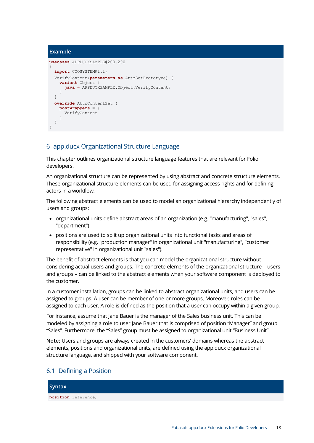#### **Example**

```
usecases APPDUCXSAMPLE@200.200
{
   import COOSYSTEM@1.1;
   VerifyContent(parameters as AttrSetPrototype) {
     variant Object {
       java = APPDUCXSAMPLE.Object.VerifyContent;
     }
   }
   override AttrContentSet {
    postwrappers = {
      VerifyContent
     }
  }
}
```
### <span id="page-17-0"></span>6 app.ducx Organizational Structure Language

This chapter outlines organizational structure language features that are relevant for Folio developers.

An organizational structure can be represented by using abstract and concrete structure elements. These organizational structure elements can be used for assigning access rights and for defining actors in a workflow.

The following abstract elements can be used to model an organizational hierarchy independently of users and groups:

- organizational units define abstract areas of an organization (e.g. "manufacturing", "sales", "department")
- positions are used to split up organizational units into functional tasks and areas of responsibility (e.g. "production manager" in organizational unit "manufacturing", "customer representative" in organizational unit "sales").

The benefit of abstract elements is that you can model the organizational structure without considering actual users and groups. The concrete elements of the organizational structure – users and groups – can be linked to the abstract elements when your software component is deployed to the customer.

In a customer installation, groups can be linked to abstract organizational units, and users can be assigned to groups. A user can be member of one or more groups. Moreover, roles can be assigned to each user. A role is defined as the position that a user can occupy within a given group.

For instance, assume that Jane Bauer is the manager of the Sales business unit. This can be modeled by assigning a role to user Jane Bauer that is comprised of position "Manager" and group "Sales". Furthermore, the "Sales" group must be assigned to organizational unit "Business Unit".

**Note:** Users and groups are always created in the customers' domains whereas the abstract elements, positions and organizational units, are defined using the app.ducx organizational structure language, and shipped with your software component.

### <span id="page-17-1"></span>6.1 Defining a Position

#### **Syntax**

**position** reference;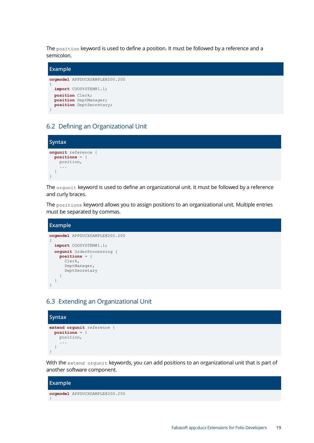The position keyword is used to define a position. It must be followed by a reference and a semicolon.



### <span id="page-18-0"></span>6.2 Defining an Organizational Unit



The orgunit keyword is used to define an organizational unit. It must be followed by a reference and curly braces.

The positions keyword allows you to assign positions to an organizational unit. Multiple entries must be separated by commas.

```
Example
orgmodel APPDUCXSAMPLE@200.200
{
   import COOSYSTEM@1.1;
   orgunit OrderProcessing {
    positions = {
      Clerk,
       DeptManager,
       DeptSecretary
     }
   }
}
```
### <span id="page-18-1"></span>6.3 Extending an Organizational Unit



With the extend orgunit keywords, you can add positions to an organizational unit that is part of another software component.

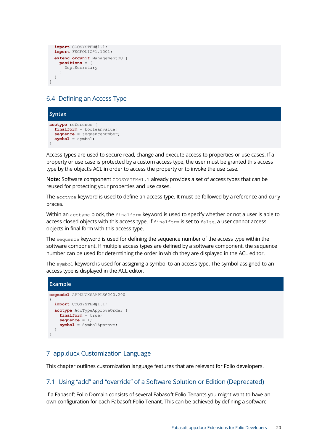```
 import COOSYSTEM@1.1;
  import FSCFOLIO@1.1001;
  extend orgunit ManagementOU {
    positions = {
      DeptSecretary
     }
  }
}
```
### <span id="page-19-0"></span>6.4 Defining an Access Type



Access types are used to secure read, change and execute access to properties or use cases. If a property or use case is protected by a custom access type, the user must be granted this access type by the object's ACL in order to access the property or to invoke the use case.

Note: Software component COOSYSTEM@1.1 already provides a set of access types that can be reused for protecting your properties and use cases.

The acctype keyword is used to define an access type. It must be followed by a reference and curly braces.

Within an acctype block, the finalform keyword is used to specify whether or not a user is able to access closed objects with this access type. If finalform is set to false, a user cannot access objects in final form with this access type.

The sequence keyword is used for defining the sequence number of the access type within the software component. If multiple access types are defined by a software component, the sequence number can be used for determining the order in which they are displayed in the ACL editor.

The symbol keyword is used for assigning a symbol to an access type. The symbol assigned to an access type is displayed in the ACL editor.

#### **Example orgmodel** APPDUCXSAMPLE@200.200 { **import** COOSYSTEM@1.1; **acctype** AccTypeApproveOrder { **finalform** = true; **sequence** = 1; **symbol** = SymbolApprove; } }

### <span id="page-19-1"></span>7 app.ducx Customization Language

This chapter outlines customization language features that are relevant for Folio developers.

### <span id="page-19-2"></span>7.1 Using "add" and "override" of a Software Solution or Edition (Deprecated)

If a Fabasoft Folio Domain consists of several Fabasoft Folio Tenants you might want to have an own configuration for each Fabasoft Folio Tenant. This can be achieved by defining a software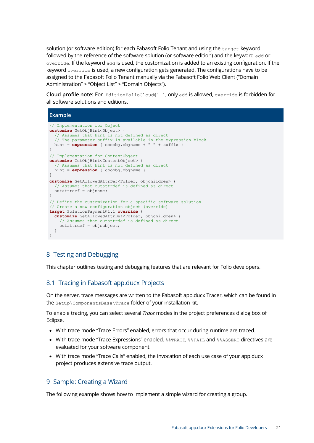solution (or software edition) for each Fabasoft Folio Tenant and using the target keyword followed by the reference of the software solution (or software edition) and the keyword add or override. If the keyword add is used, the customization is added to an existing configuration. If the keyword override is used, a new configuration gets generated. The configurations have to be assigned to the Fabasoft Folio Tenant manually via the Fabasoft Folio Web Client ("Domain Administration" > "Object List" > "Domain Objects").

**Cloud profile note:** For EditionFolioCloud@1.1, only add is allowed, override is forbidden for all software solutions and editions.

#### **Example**

```
// Implementation for Object
customize GetObjHint<Object> {
  // Assumes that hint is not defined as direct
   // The parameter suffix is available in the expression block
 hint = expression { cooobj.objname + " " + suffix )}
// Implementation for ContentObject
customize GetObjHint<ContentObject> {
   // Assumes that hint is not defined as direct
  hint = expression { cooobj.objname }
}
customize GetAllowedAttrDef<Folder, objchildren> {
   // Assumes that outattrdef is defined as direct
 outattrdef = objname;}
// Define the customization for a specific software solution
// Create a new configuration object (override)
target SolutionPayment@1.1 override {
   customize GetAllowedAttrDef<Folder, objchildren> {
    // Assumes that outattrdef is defined as direct
    outattrdef = objsubject;
  }
}
```
#### <span id="page-20-0"></span>8 Testing and Debugging

This chapter outlines testing and debugging features that are relevant for Folio developers.

#### <span id="page-20-1"></span>8.1 Tracing in Fabasoft app.ducx Projects

On the server, trace messages are written to the Fabasoft app.ducx Tracer, which can be found in the Setup\ComponentsBase\Trace folder of your installation kit.

To enable tracing, you can select several *Trace* modes in the project preferences dialog box of Eclipse.

- With trace mode "Trace Errors" enabled, errors that occur during runtime are traced.
- With trace mode "Trace Expressions" enabled, %%TRACE, %%FAIL and %%ASSERT directives are evaluated for your software component.
- With trace mode "Trace Calls" enabled, the invocation of each use case of your app.ducx project produces extensive trace output.

#### <span id="page-20-2"></span>9 Sample: Creating a Wizard

The following example shows how to implement a simple wizard for creating a group.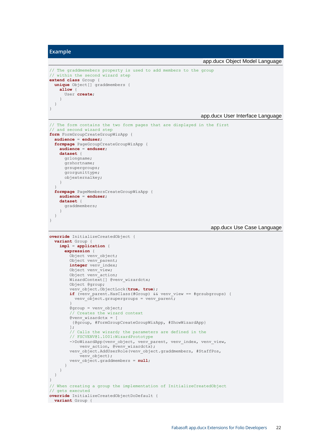```
Example
                                                                 app.ducx Object Model Language
// The graddmemebers property is used to add members to the group
// within the second wizard step
extend class Group {
   unique Object[] graddmembers {
     allow {
       User create;
     }
  }
}
                                                                app.ducx User Interface Language
// The form contains the two form pages that are displayed in the first
// and second wizard step
form FormGroupCreateGroupWizApp {
   audience = enduser;
   formpage PageGroupCreateGroupWizApp {
     audience = enduser;
     dataset {
      grlongname;
       grshortname;
       grsupergroups;
       grorgunittype;
       objexternalkey;
     }
 }
   formpage PageMembersCreateGroupWizApp {
     audience = enduser;
     dataset {
       graddmembers;
     }
  }
\overline{ }app.ducx Use Case Language
override InitializeCreatedObject {
   variant Group {
     impl = application {
       expression {
        Object venv object;
         Object venv_parent;
        integer venv index;
        Object venv \bar{v}iew;
        Object venv action;
         WizardContext[] @venv_wizardctx;
         Object @group;
         venv_object.ObjectLock(true, true);
        if (venv parent.HasClass(#Group) && venv view == #grsubgroups) {
          venv \overline{obj}ect.grsupergroups = venv parent;
 }
         @group = venv_object;
          // Creates the wizard context
         @venv_wizardctx = [
          {@group, #FormGroupCreateGroupWizApp, #ShowWizardApp}
          ];
         // Calls the wizard; the parameters are defined in the
         // FSCVENV@1.1001:WizardPrototype
        ->DoWizardApp(venv_object, venv_parent, venv_index, venv_view,
             venv action, @venv wizardctx);
        venv_object.AddUserRole(venv_object.graddmembers, #StaffPos,
            \frac{1}{\sqrt{2}} venv object);
         venv_object.graddmembers = null;
       }
     }
   }
}
// When creating a group the implementation of InitializeCreatedObject
// gets executed
override InitializeCreatedObjectDoDefault {
 variant Group {
```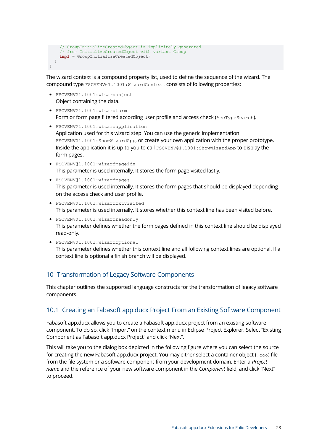```
 // GroupInitializeCreatedObject is implicitely generated
     // from InitializeCreatedObject with variant Group
    impl = GroupInitializeCreatedObject;
  }
}
```
The wizard context is a compound property list, used to define the sequence of the wizard. The compound type FSCVENV@1.1001:WizardContext consists of following properties:

- FSCVENV@1.1001:wizardobject Object containing the data.
- FSCVENV@1.1001:wizardform Form or form page filtered according user profile and access check (AccTypeSearch).
- FSCVENV@1.1001:wizardapplication Application used for this wizard step. You can use the generic implementation FSCVENV@1.1001:ShowWizardApp, or create your own application with the proper prototype. Inside the application it is up to you to call FSCVENV@1.1001:ShowWizardApp to display the form pages.
- FSCVENV@1.1001:wizardpageidx This parameter is used internally. It stores the form page visited lastly.
- FSCVENV@1.1001:wizardpages This parameter is used internally. It stores the form pages that should be displayed depending on the access check and user profile.
- FSCVENV@1.1001:wizardcxtvisited This parameter is used internally. It stores whether this context line has been visited before.
- FSCVENV@1.1001:wizardreadonly This parameter defines whether the form pages defined in this context line should be displayed read-only.
- FSCVENV@1.1001:wizardoptional This parameter defines whether this context line and all following context lines are optional. If a context line is optional a finish branch will be displayed.

### <span id="page-22-0"></span>10 Transformation of Legacy Software Components

This chapter outlines the supported language constructs for the transformation of legacy software components.

### <span id="page-22-1"></span>10.1 Creating an Fabasoft app.ducx Project From an Existing Software Component

Fabasoft app.ducx allows you to create a Fabasoft app.ducx project from an existing software component. To do so, click "Import" on the context menu in Eclipse Project Explorer. Select "Existing Component as Fabasoft app.ducx Project" and click "Next".

This will take you to the dialog box depicted in the following figure where you can select the source for creating the new Fabasoft app.ducx project. You may either select a container object ( $\cos$ ) file from the file system or a software component from your development domain. Enter a *Project name* and the reference of your new software component in the *Component* field, and click "Next" to proceed.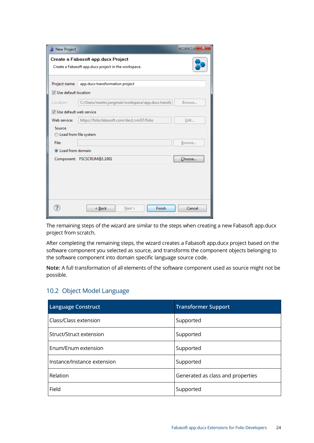| New Project               |                                                      | $\mathbf{x}$<br>and a fact |
|---------------------------|------------------------------------------------------|----------------------------|
|                           | Create a Fabasoft app.ducx Project                   |                            |
|                           | Create a Fabasoft app.ducx project in the workspace. |                            |
|                           |                                                      |                            |
| Project name:             | app.ducx transformation project                      |                            |
| Use default location      |                                                      |                            |
| Locations                 | C:/Users/martin.jungmair/workspace/app.ducx transfc  | Browse                     |
| V Use default web service |                                                      |                            |
| Web service:              | https://folio.fabasoft.com/dev1/vm57/folio           | Edit                       |
| Source                    |                                                      |                            |
| C Load from file system   |                                                      |                            |
| File:                     |                                                      | Browse                     |
| C Load from domain        |                                                      |                            |
|                           | Component: FSCSCRUM@1.1001                           | Choose                     |
|                           |                                                      |                            |
|                           |                                                      |                            |
|                           |                                                      |                            |
|                           |                                                      |                            |
|                           |                                                      |                            |
|                           | Finish<br>< Back<br>Next >                           | Cancel                     |

The remaining steps of the wizard are similar to the steps when creating a new Fabasoft app.ducx project from scratch.

After completing the remaining steps, the wizard creates a Fabasoft app.ducx project based on the software component you selected as source, and transforms the component objects belonging to the software component into domain specific language source code.

**Note:** A full transformation of all elements of the software component used as source might not be possible.

### <span id="page-23-0"></span>10.2 Object Model Language

| <b>Language Construct</b>   | <b>Transformer Support</b>        |
|-----------------------------|-----------------------------------|
| Class/Class extension       | Supported                         |
| Struct/Struct extension     | Supported                         |
| Enum/Enum extension         | Supported                         |
| Instance/Instance extension | Supported                         |
| Relation                    | Generated as class and properties |
| Field                       | Supported                         |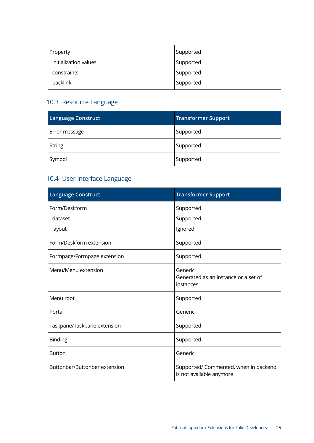| Property              | Supported |
|-----------------------|-----------|
| initialization values | Supported |
| constraints           | Supported |
| <b>backlink</b>       | Supported |

# <span id="page-24-0"></span>10.3 Resource Language

| <b>Language Construct</b> | Transformer Support |
|---------------------------|---------------------|
| Error message             | Supported           |
| String                    | Supported           |
| Symbol                    | Supported           |

# <span id="page-24-1"></span>10.4 User Interface Language

| <b>Language Construct</b>     | <b>Transformer Support</b>                                        |
|-------------------------------|-------------------------------------------------------------------|
| Form/Deskform                 | Supported                                                         |
| dataset                       | Supported                                                         |
| layout                        | Ignored                                                           |
| Form/Deskform extension       | Supported                                                         |
| Formpage/Formpage extension   | Supported                                                         |
| Menu/Menu extension           | Generic<br>Generated as an instance or a set of<br>instances      |
| Menu root                     | Supported                                                         |
| Portal                        | Generic                                                           |
| Taskpane/Taskpane extension   | Supported                                                         |
| <b>Binding</b>                | Supported                                                         |
| <b>Button</b>                 | Generic                                                           |
| Buttonbar/Buttonber extension | Supported/ Commented, when in backend<br>is not available anymore |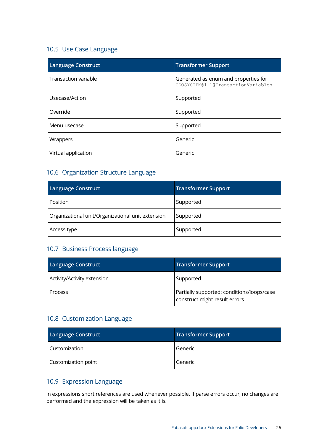### <span id="page-25-0"></span>10.5 Use Case Language

| <b>Language Construct</b> | <b>Transformer Support</b>                                                 |
|---------------------------|----------------------------------------------------------------------------|
| Transaction variable      | Generated as enum and properties for<br>COOSYSTEM@1.1@TransactionVariables |
| Usecase/Action            | Supported                                                                  |
| Override                  | Supported                                                                  |
| Menu usecase              | Supported                                                                  |
| Wrappers                  | Generic                                                                    |
| Virtual application       | Generic                                                                    |

### <span id="page-25-1"></span>10.6 Organization Structure Language

| <b>Language Construct</b>                         | <b>Transformer Support</b> |
|---------------------------------------------------|----------------------------|
| Position                                          | Supported                  |
| Organizational unit/Organizational unit extension | Supported                  |
| Access type                                       | Supported                  |

### <span id="page-25-2"></span>10.7 Business Process language

| Language Construct          | <b>Transformer Support</b>                                                  |
|-----------------------------|-----------------------------------------------------------------------------|
| Activity/Activity extension | Supported                                                                   |
| Process                     | Partially supported: conditions/loops/case<br>construct might result errors |

### <span id="page-25-3"></span>10.8 Customization Language

| <b>Language Construct</b> | <b>Transformer Support</b> |
|---------------------------|----------------------------|
| <b>Customization</b>      | Generic                    |
| Customization point       | Generic                    |

### <span id="page-25-4"></span>10.9 Expression Language

In expressions short references are used whenever possible. If parse errors occur, no changes are performed and the expression will be taken as it is.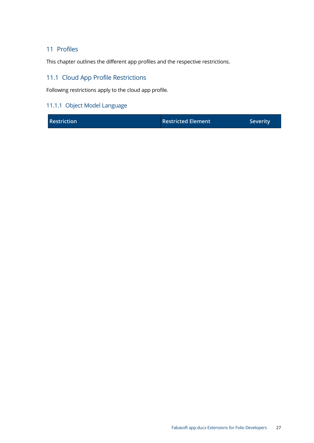### <span id="page-26-0"></span>11 Profiles

This chapter outlines the different app profiles and the respective restrictions.

### <span id="page-26-1"></span>11.1 Cloud App Profile Restrictions

Following restrictions apply to the cloud app profile.

### <span id="page-26-2"></span>11.1.1 Object Model Language

|  | <b>Restriction</b> | <b>Restricted Element</b> | <b>Severity</b> |
|--|--------------------|---------------------------|-----------------|
|--|--------------------|---------------------------|-----------------|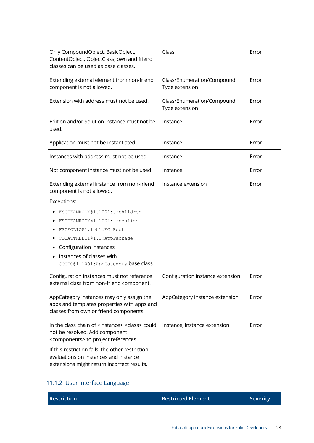| Only CompoundObject, BasicObject,<br>ContentObject, ObjectClass, own and friend<br>classes can be used as base classes.                                   | Class                                        | Error |
|-----------------------------------------------------------------------------------------------------------------------------------------------------------|----------------------------------------------|-------|
| Extending external element from non-friend<br>component is not allowed.                                                                                   | Class/Enumeration/Compound<br>Type extension | Error |
| Extension with address must not be used.                                                                                                                  | Class/Enumeration/Compound<br>Type extension | Error |
| Edition and/or Solution instance must not be<br>used.                                                                                                     | Instance                                     | Error |
| Application must not be instantiated.                                                                                                                     | Instance                                     | Error |
| Instances with address must not be used.                                                                                                                  | Instance                                     | Error |
| Not component instance must not be used.                                                                                                                  | Instance                                     | Error |
| Extending external instance from non-friend<br>component is not allowed.                                                                                  | Instance extension                           | Error |
| Exceptions:                                                                                                                                               |                                              |       |
| FSCTEAMROOM@1.1001:trchildren                                                                                                                             |                                              |       |
| FSCTEAMROOM@1.1001:trconfigs                                                                                                                              |                                              |       |
| FSCFOLIO@1.1001:EC_Root                                                                                                                                   |                                              |       |
| COOATTREDIT@1.1:AppPackage                                                                                                                                |                                              |       |
| Configuration instances                                                                                                                                   |                                              |       |
| Instances of classes with                                                                                                                                 |                                              |       |
| COOTC@1.1001:AppCategory base class                                                                                                                       |                                              |       |
| Configuration instances must not reference<br>external class from non-friend component.                                                                   | Configuration instance extension             | Error |
| AppCategory instances may only assign the<br>apps and templates properties with apps and<br>classes from own or friend components.                        | AppCategory instance extension               | Error |
| In the class chain of <instance> <class> could<br/>not be resolved. Add component<br/><components> to project references.</components></class></instance> | Instance, Instance extension                 | Error |
| If this restriction fails, the other restriction<br>evaluations on instances and instance<br>extensions might return incorrect results.                   |                                              |       |

# <span id="page-27-0"></span>11.1.2 User Interface Language

| <b>Restriction</b> | <b>Restricted Element</b> | Severity |
|--------------------|---------------------------|----------|
|                    |                           |          |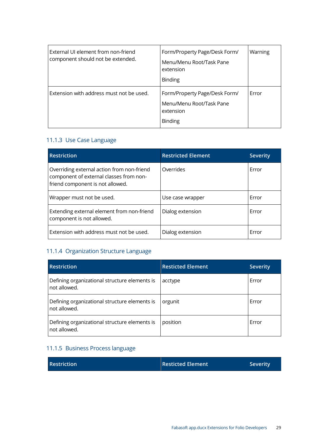| External UI element from non-friend<br>component should not be extended. | Form/Property Page/Desk Form/<br>Menu/Menu Root/Task Pane<br>extension<br><b>Binding</b> | Warning |
|--------------------------------------------------------------------------|------------------------------------------------------------------------------------------|---------|
| Extension with address must not be used.                                 | Form/Property Page/Desk Form/<br>Menu/Menu Root/Task Pane<br>extension<br><b>Binding</b> | Error   |

### <span id="page-28-0"></span>11.1.3 Use Case Language

| <b>Restriction</b>                                                                                                        | <b>Restricted Element</b> | <b>Severity</b> |
|---------------------------------------------------------------------------------------------------------------------------|---------------------------|-----------------|
| Overriding external action from non-friend<br>component of external classes from non-<br>friend component is not allowed. | Overrides                 | Error           |
| Wrapper must not be used.                                                                                                 | Use case wrapper          | Error           |
| Extending external element from non-friend<br>component is not allowed.                                                   | Dialog extension          | Error           |
| Extension with address must not be used.                                                                                  | Dialog extension          | Error           |

### <span id="page-28-1"></span>11.1.4 Organization Structure Language

| <b>Restriction</b>                                            | <b>Resticted Element</b> | <b>Severity</b> |
|---------------------------------------------------------------|--------------------------|-----------------|
| Defining organizational structure elements is<br>not allowed. | acctype                  | Error           |
| Defining organizational structure elements is<br>not allowed. | orgunit                  | Error           |
| Defining organizational structure elements is<br>not allowed. | position                 | Error           |

### <span id="page-28-2"></span>11.1.5 Business Process language

| <b>Restriction</b> | <b>Resticted Element</b> | Severity |
|--------------------|--------------------------|----------|
|--------------------|--------------------------|----------|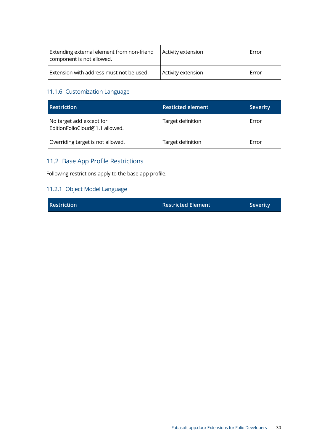| Extending external element from non-friend<br>component is not allowed. | Activity extension | Error |
|-------------------------------------------------------------------------|--------------------|-------|
| Extension with address must not be used.                                | Activity extension | Error |

### <span id="page-29-0"></span>11.1.6 Customization Language

| <b>Restriction</b>                                         | <b>Resticted element</b> | <b>Severity</b> |
|------------------------------------------------------------|--------------------------|-----------------|
| No target add except for<br>EditionFolioCloud@1.1 allowed. | Target definition        | Error           |
| Overriding target is not allowed.                          | Target definition        | Error           |

# <span id="page-29-1"></span>11.2 Base App Profile Restrictions

Following restrictions apply to the base app profile.

### <span id="page-29-2"></span>11.2.1 Object Model Language

| <b>Restriction</b><br><b>Restricted Element</b><br><b>Severity</b> |  |
|--------------------------------------------------------------------|--|
|--------------------------------------------------------------------|--|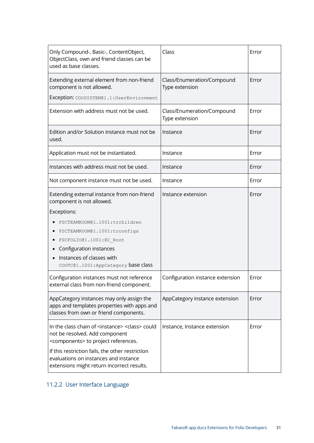| Only Compound-, Basic-, ContentObject,<br>ObjectClass, own and friend classes can be<br>used as base classes.                                             | Class                                        | Error |
|-----------------------------------------------------------------------------------------------------------------------------------------------------------|----------------------------------------------|-------|
| Extending external element from non-friend<br>component is not allowed.<br>Exception: COOSYSTEM@1.1: UserEnvironment                                      | Class/Enumeration/Compound<br>Type extension | Error |
| Extension with address must not be used.                                                                                                                  | Class/Enumeration/Compound<br>Type extension | Error |
| Edition and/or Solution instance must not be<br>used.                                                                                                     | Instance                                     | Error |
| Application must not be instantiated.                                                                                                                     | Instance                                     | Error |
| Instances with address must not be used.                                                                                                                  | Instance                                     | Error |
| Not component instance must not be used.                                                                                                                  | Instance                                     | Error |
| Extending external instance from non-friend<br>component is not allowed.                                                                                  | Instance extension                           | Error |
| Exceptions:                                                                                                                                               |                                              |       |
| FSCTEAMROOM@1.1001:trchildren                                                                                                                             |                                              |       |
| FSCTEAMROOM@1.1001:trconfigs                                                                                                                              |                                              |       |
| FSCFOLIO@1.1001:EC Root                                                                                                                                   |                                              |       |
| Configuration instances                                                                                                                                   |                                              |       |
| Instances of classes with<br>COOTC@1.1001:AppCategory base class                                                                                          |                                              |       |
| Configuration instances must not reference<br>external class from non-friend component.                                                                   | Configuration instance extension             | Error |
| AppCategory instances may only assign the<br>apps and templates properties with apps and<br>classes from own or friend components.                        | AppCategory instance extension               | Error |
| In the class chain of <instance> <class> could<br/>not be resolved. Add component<br/><components> to project references.</components></class></instance> | Instance, Instance extension                 | Error |
| If this restriction fails, the other restriction<br>evaluations on instances and instance<br>extensions might return incorrect results.                   |                                              |       |

# <span id="page-30-0"></span>11.2.2 User Interface Language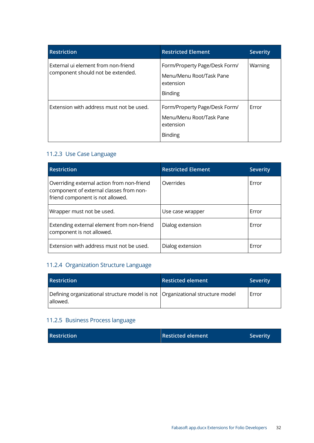| <b>Restriction</b>                                                       | <b>Restricted Element</b>                                                                | <b>Severity</b> |
|--------------------------------------------------------------------------|------------------------------------------------------------------------------------------|-----------------|
| External uj element from non-friend<br>component should not be extended. | Form/Property Page/Desk Form/<br>Menu/Menu Root/Task Pane<br>extension<br><b>Binding</b> | Warning         |
| Extension with address must not be used.                                 | Form/Property Page/Desk Form/<br>Menu/Menu Root/Task Pane<br>extension<br><b>Binding</b> | Error           |

### <span id="page-31-0"></span>11.2.3 Use Case Language

| <b>Restriction</b>                                                                                                        | <b>Restricted Element</b> | <b>Severity</b> |
|---------------------------------------------------------------------------------------------------------------------------|---------------------------|-----------------|
| Overriding external action from non-friend<br>component of external classes from non-<br>friend component is not allowed. | Overrides                 | Error           |
| Wrapper must not be used.                                                                                                 | Use case wrapper          | Error           |
| Extending external element from non-friend<br>component is not allowed.                                                   | Dialog extension          | Error           |
| Extension with address must not be used.                                                                                  | Dialog extension          | Error           |

# <span id="page-31-1"></span>11.2.4 Organization Structure Language

| <b>Restriction</b>                                                                          | <b>Resticted element</b> | <b>Severity</b> |
|---------------------------------------------------------------------------------------------|--------------------------|-----------------|
| Defining organizational structure model is not   Organizational structure model<br>allowed. |                          | Error           |

### <span id="page-31-2"></span>11.2.5 Business Process language

| <b>Restriction</b> | Resticted element | <b>Severity</b> |
|--------------------|-------------------|-----------------|
|                    |                   |                 |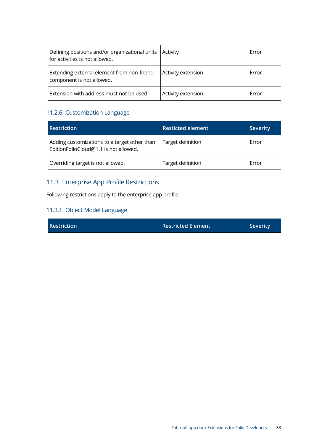| Defining positions and/or organizational units   Activity<br>for activities is not allowed. |                    | Error |
|---------------------------------------------------------------------------------------------|--------------------|-------|
| Extending external element from non-friend<br>component is not allowed.                     | Activity extension | Error |
| Extension with address must not be used.                                                    | Activity extension | Error |

### <span id="page-32-0"></span>11.2.6 Customization Language

| <b>Restriction</b>                                                                    | <b>Resticted element</b> | <b>Severity</b> |
|---------------------------------------------------------------------------------------|--------------------------|-----------------|
| Adding customizations to a target other than<br>EditionFolioCloud@1.1 is not allowed. | Target definition        | Error           |
| Overriding target is not allowed.                                                     | Target definition        | Error           |

### <span id="page-32-1"></span>11.3 Enterprise App Profile Restrictions

Following restrictions apply to the enterprise app profile.

### <span id="page-32-2"></span>11.3.1 Object Model Language

|  | Restriction |
|--|-------------|
|  |             |

**Restricted Element Severity**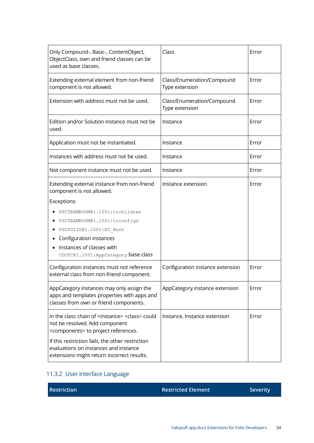| Only Compound-, Basic-, ContentObject,<br>ObjectClass, own and friend classes can be<br>used as base classes.                                             | Class                                        | Error |
|-----------------------------------------------------------------------------------------------------------------------------------------------------------|----------------------------------------------|-------|
| Extending external element from non-friend<br>component is not allowed.                                                                                   | Class/Enumeration/Compound<br>Type extension | Error |
| Extension with address must not be used.                                                                                                                  | Class/Enumeration/Compound<br>Type extension | Error |
| Edition and/or Solution instance must not be<br>used.                                                                                                     | Instance                                     | Error |
| Application must not be instantiated.                                                                                                                     | Instance                                     | Error |
| Instances with address must not be used.                                                                                                                  | Instance                                     | Error |
| Not component instance must not be used.                                                                                                                  | Instance                                     | Error |
| Extending external instance from non-friend<br>component is not allowed.                                                                                  | Instance extension                           | Error |
| Exceptions:                                                                                                                                               |                                              |       |
| FSCTEAMROOM@1.1001:trchildren                                                                                                                             |                                              |       |
| FSCTEAMROOM@1.1001:trconfigs                                                                                                                              |                                              |       |
| FSCFOLIO@1.1001:EC Root<br>٠                                                                                                                              |                                              |       |
| Configuration instances                                                                                                                                   |                                              |       |
| Instances of classes with                                                                                                                                 |                                              |       |
| COOTC@1.1001:AppCategory base class                                                                                                                       |                                              |       |
| Configuration instances must not reference<br>external class from non-friend component.                                                                   | Configuration instance extension             | Error |
| AppCategory instances may only assign the<br>apps and templates properties with apps and<br>classes from own or friend components.                        | AppCategory instance extension               | Error |
| In the class chain of <instance> <class> could<br/>not be resolved. Add component<br/><components> to project references.</components></class></instance> | Instance, Instance extension                 | Error |
| If this restriction fails, the other restriction<br>evaluations on instances and instance<br>extensions might return incorrect results.                   |                                              |       |

# <span id="page-33-0"></span>11.3.2 User Interface Language

| <b>Restriction</b> | Restricted Element | <b>Severity</b> |
|--------------------|--------------------|-----------------|
|                    |                    |                 |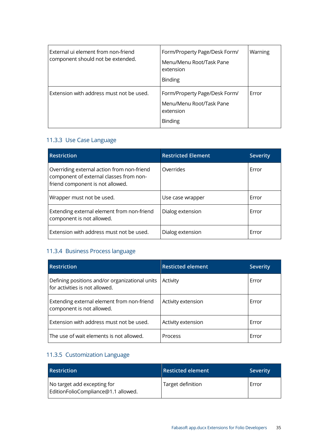| External uj element from non-friend<br>component should not be extended. | Form/Property Page/Desk Form/<br>Menu/Menu Root/Task Pane<br>extension<br><b>Binding</b> | Warning |
|--------------------------------------------------------------------------|------------------------------------------------------------------------------------------|---------|
| Extension with address must not be used.                                 | Form/Property Page/Desk Form/<br>Menu/Menu Root/Task Pane<br>extension<br><b>Binding</b> | Error   |

### <span id="page-34-0"></span>11.3.3 Use Case Language

| <b>Restriction</b>                                                                                                        | <b>Restricted Element</b> | <b>Severity</b> |
|---------------------------------------------------------------------------------------------------------------------------|---------------------------|-----------------|
| Overriding external action from non-friend<br>component of external classes from non-<br>friend component is not allowed. | Overrides                 | Error           |
| Wrapper must not be used.                                                                                                 | Use case wrapper          | Error           |
| Extending external element from non-friend<br>component is not allowed.                                                   | Dialog extension          | Error           |
| Extension with address must not be used.                                                                                  | Dialog extension          | Error           |

### <span id="page-34-1"></span>11.3.4 Business Process language

| <b>Restriction</b>                                                               | <b>Resticted element</b> | <b>Severity</b> |
|----------------------------------------------------------------------------------|--------------------------|-----------------|
| Defining positions and/or organizational units<br>for activities is not allowed. | Activity                 | Error           |
| Extending external element from non-friend<br>component is not allowed.          | Activity extension       | Error           |
| Extension with address must not be used.                                         | Activity extension       | Error           |
| The use of wait elements is not allowed.                                         | Process                  | Error           |

# <span id="page-34-2"></span>11.3.5 Customization Language

| <b>Restriction</b>                                                 | <b>Resticted element</b> | <b>Severity</b> |
|--------------------------------------------------------------------|--------------------------|-----------------|
| No target add excepting for<br>EditionFolioCompliance@1.1 allowed. | Target definition        | Error           |